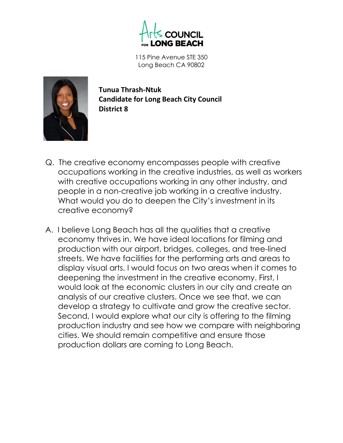

115 Pine Avenue STE 350 Long Beach CA 90802



**Tunua Thrash-Ntuk Candidate for Long Beach City Council District 8**

- Q. The creative economy encompasses people with creative occupations working in the creative industries, as well as workers with creative occupations working in any other industry, and people in a non-creative job working in a creative industry. What would you do to deepen the City's investment in its creative economy?
- A. I believe Long Beach has all the qualities that a creative economy thrives in. We have ideal locations for filming and production with our airport, bridges, colleges, and tree-lined streets. We have facilities for the performing arts and areas to display visual arts. I would focus on two areas when it comes to deepening the investment in the creative economy. First, I would look at the economic clusters in our city and create an analysis of our creative clusters. Once we see that, we can develop a strategy to cultivate and grow the creative sector. Second, I would explore what our city is offering to the filming production industry and see how we compare with neighboring cities. We should remain competitive and ensure those production dollars are coming to Long Beach.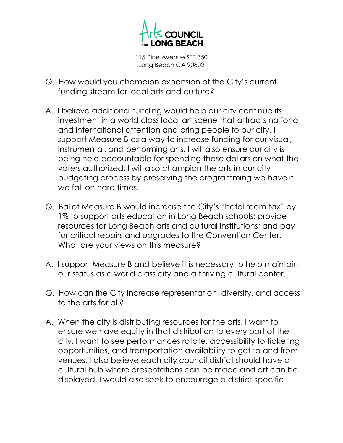

115 Pine Avenue STE 350 Long Beach CA 90802

- Q. How would you champion expansion of the City's current funding stream for local arts and culture?
- A. I believe additional funding would help our city continue its investment in a world class local art scene that attracts national and international attention and bring people to our city. I support Measure B as a way to increase funding for our visual, instrumental, and performing arts. I will also ensure our city is being held accountable for spending those dollars on what the voters authorized. I will also champion the arts in our city budgeting process by preserving the programming we have if we fall on hard times.
- Q. Ballot Measure B would increase the City's "hotel room tax" by 1% to support arts education in Long Beach schools; provide resources for Long Beach arts and cultural institutions; and pay for critical repairs and upgrades to the Convention Center. What are your views on this measure?
- A. I support Measure B and believe it is necessary to help maintain our status as a world class city and a thriving cultural center.
- Q. How can the City increase representation, diversity, and access to the arts for all?
- A. When the city is distributing resources for the arts, I want to ensure we have equity in that distribution to every part of the city. I want to see performances rotate, accessibility to ticketing opportunities, and transportation availability to get to and from venues. I also believe each city council district should have a cultural hub where presentations can be made and art can be displayed. I would also seek to encourage a district specific